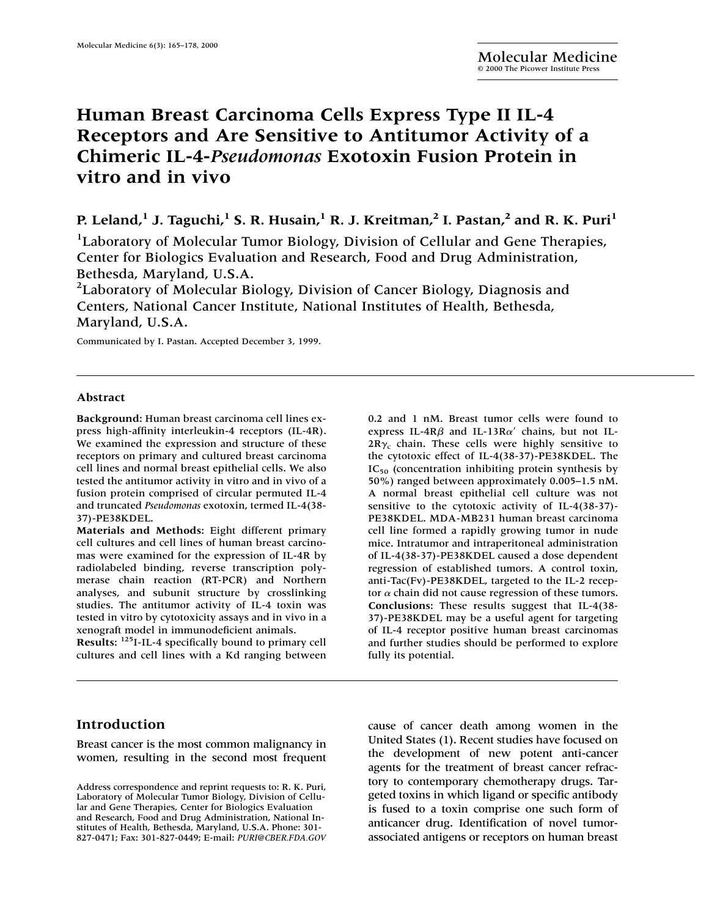# **Human Breast Carcinoma Cells Express Type II IL-4 Receptors and Are Sensitive to Antitumor Activity of a Chimeric IL-4-***Pseudomonas* **Exotoxin Fusion Protein in vitro and in vivo**

**P. Leland,**<sup>1</sup> **J. Taguchi,**<sup>1</sup> **S. R. Husain,**<sup>1</sup> **R. J. Kreitman,**<sup>2</sup> **I. Pastan,**<sup>2</sup> and **R. K. Puri**<sup>1</sup>

<sup>1</sup>Laboratory of Molecular Tumor Biology, Division of Cellular and Gene Therapies, Center for Biologics Evaluation and Research, Food and Drug Administration, Bethesda, Maryland, U.S.A.

<sup>2</sup> Laboratory of Molecular Biology, Division of Cancer Biology, Diagnosis and Centers, National Cancer Institute, National Institutes of Health, Bethesda, Maryland, U.S.A.

Communicated by I. Pastan. Accepted December 3, 1999.

#### **Abstract**

**Background:** Human breast carcinoma cell lines express high-affinity interleukin-4 receptors (IL-4R). We examined the expression and structure of these receptors on primary and cultured breast carcinoma cell lines and normal breast epithelial cells. We also tested the antitumor activity in vitro and in vivo of a fusion protein comprised of circular permuted IL-4 and truncated *Pseudomonas* exotoxin, termed IL-4(38- 37)-PE38KDEL.

**Materials and Methods:** Eight different primary cell cultures and cell lines of human breast carcinomas were examined for the expression of IL-4R by radiolabeled binding, reverse transcription polymerase chain reaction (RT-PCR) and Northern analyses, and subunit structure by crosslinking studies. The antitumor activity of IL-4 toxin was tested in vitro by cytotoxicity assays and in vivo in a xenograft model in immunodeficient animals.

**Results:** 125I-IL-4 specifically bound to primary cell cultures and cell lines with a Kd ranging between

## **Introduction**

Breast cancer is the most common malignancy in women, resulting in the second most frequent

0.2 and 1 nM. Breast tumor cells were found to express IL-4R $\beta$  and IL-13R $\alpha'$  chains, but not IL- $2R\gamma_c$  chain. These cells were highly sensitive to the cytotoxic effect of IL-4(38-37)-PE38KDEL. The  $IC_{50}$  (concentration inhibiting protein synthesis by 50%) ranged between approximately 0.005–1.5 nM. A normal breast epithelial cell culture was not sensitive to the cytotoxic activity of IL-4(38-37)- PE38KDEL. MDA-MB231 human breast carcinoma cell line formed a rapidly growing tumor in nude mice. Intratumor and intraperitoneal administration of IL-4(38-37)-PE38KDEL caused a dose dependent regression of established tumors. A control toxin, anti-Tac(Fv)-PE38KDEL, targeted to the IL-2 receptor  $\alpha$  chain did not cause regression of these tumors. **Conclusions:** These results suggest that IL-4(38- 37)-PE38KDEL may be a useful agent for targeting of IL-4 receptor positive human breast carcinomas and further studies should be performed to explore fully its potential.

cause of cancer death among women in the United States (1). Recent studies have focused on the development of new potent anti-cancer agents for the treatment of breast cancer refractory to contemporary chemotherapy drugs. Targeted toxins in which ligand or specific antibody is fused to a toxin comprise one such form of anticancer drug. Identification of novel tumorassociated antigens or receptors on human breast

Address correspondence and reprint requests to: R. K. Puri, Laboratory of Molecular Tumor Biology, Division of Cellular and Gene Therapies, Center for Biologics Evaluation and Research, Food and Drug Administration, National Institutes of Health, Bethesda, Maryland, U.S.A. Phone: 301- 827-0471; Fax: 301-827-0449; E-mail: *PURI@CBER.FDA.GOV*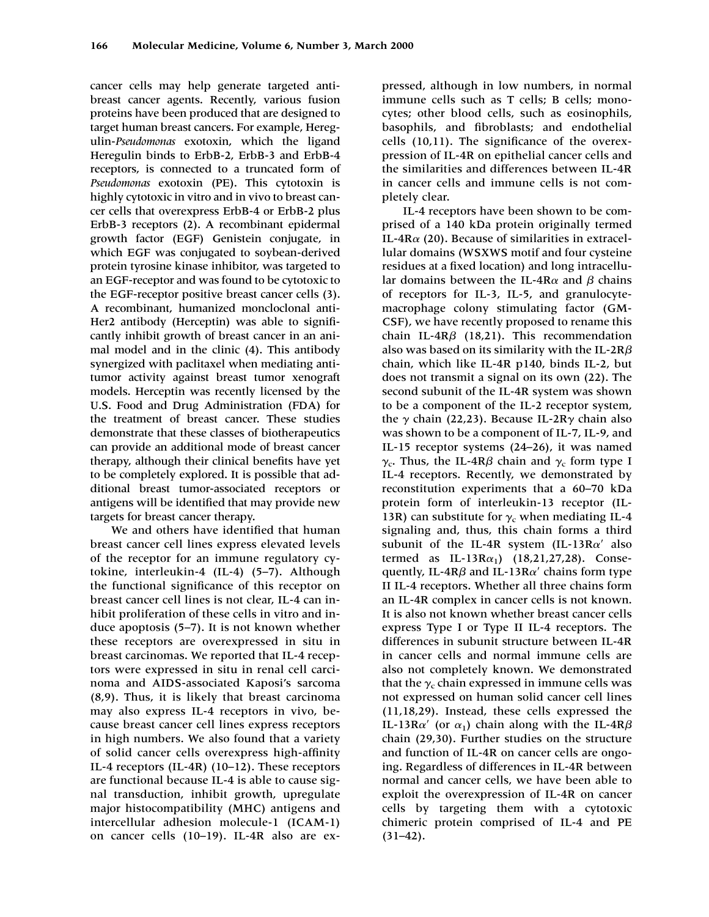cancer cells may help generate targeted antibreast cancer agents. Recently, various fusion proteins have been produced that are designed to target human breast cancers. For example, Heregulin-*Pseudomonas* exotoxin, which the ligand Heregulin binds to ErbB-2, ErbB-3 and ErbB-4 receptors, is connected to a truncated form of *Pseudomonas* exotoxin (PE). This cytotoxin is highly cytotoxic in vitro and in vivo to breast cancer cells that overexpress ErbB-4 or ErbB-2 plus ErbB-3 receptors (2). A recombinant epidermal growth factor (EGF) Genistein conjugate, in which EGF was conjugated to soybean-derived protein tyrosine kinase inhibitor, was targeted to an EGF-receptor and was found to be cytotoxic to the EGF-receptor positive breast cancer cells (3). A recombinant, humanized moncloclonal anti-Her2 antibody (Herceptin) was able to significantly inhibit growth of breast cancer in an animal model and in the clinic (4). This antibody synergized with paclitaxel when mediating antitumor activity against breast tumor xenograft models. Herceptin was recently licensed by the U.S. Food and Drug Administration (FDA) for the treatment of breast cancer. These studies demonstrate that these classes of biotherapeutics can provide an additional mode of breast cancer therapy, although their clinical benefits have yet to be completely explored. It is possible that additional breast tumor-associated receptors or antigens will be identified that may provide new targets for breast cancer therapy.

We and others have identified that human breast cancer cell lines express elevated levels of the receptor for an immune regulatory cytokine, interleukin-4 (IL-4) (5–7). Although the functional significance of this receptor on breast cancer cell lines is not clear, IL-4 can inhibit proliferation of these cells in vitro and induce apoptosis (5–7). It is not known whether these receptors are overexpressed in situ in breast carcinomas. We reported that IL-4 receptors were expressed in situ in renal cell carcinoma and AIDS-associated Kaposi's sarcoma (8,9). Thus, it is likely that breast carcinoma may also express IL-4 receptors in vivo, because breast cancer cell lines express receptors in high numbers. We also found that a variety of solid cancer cells overexpress high-affinity IL-4 receptors (IL-4R) (10–12). These receptors are functional because IL-4 is able to cause signal transduction, inhibit growth, upregulate major histocompatibility (MHC) antigens and intercellular adhesion molecule-1 (ICAM-1) on cancer cells (10–19). IL-4R also are ex-

pressed, although in low numbers, in normal immune cells such as T cells; B cells; monocytes; other blood cells, such as eosinophils, basophils, and fibroblasts; and endothelial cells (10,11). The significance of the overexpression of IL-4R on epithelial cancer cells and the similarities and differences between IL-4R in cancer cells and immune cells is not completely clear.

IL-4 receptors have been shown to be comprised of a 140 kDa protein originally termed IL-4R $\alpha$  (20). Because of similarities in extracellular domains (WSXWS motif and four cysteine residues at a fixed location) and long intracellular domains between the IL-4R $\alpha$  and  $\beta$  chains of receptors for IL-3, IL-5, and granulocytemacrophage colony stimulating factor (GM-CSF), we have recently proposed to rename this chain IL-4R $\beta$  (18,21). This recommendation also was based on its similarity with the IL-2R $\beta$ chain, which like IL-4R p140, binds IL-2, but does not transmit a signal on its own (22). The second subunit of the IL-4R system was shown to be a component of the IL-2 receptor system, the  $\gamma$  chain (22,23). Because IL-2R $\gamma$  chain also was shown to be a component of IL-7, IL-9, and IL-15 receptor systems (24–26), it was named  $\gamma_{\rm c}$ . Thus, the IL-4R $\beta$  chain and  $\gamma_{\rm c}$  form type I IL-4 receptors. Recently, we demonstrated by reconstitution experiments that a 60–70 kDa protein form of interleukin-13 receptor (IL-13R) can substitute for  $\gamma_c$  when mediating IL-4 signaling and, thus, this chain forms a third subunit of the IL-4R system (IL-13R $\alpha'$  also termed as IL-13R $\alpha_1$ ) (18,21,27,28). Consequently, IL-4R $\beta$  and IL-13R $\alpha'$  chains form type II IL-4 receptors. Whether all three chains form an IL-4R complex in cancer cells is not known. It is also not known whether breast cancer cells express Type I or Type II IL-4 receptors. The differences in subunit structure between IL-4R in cancer cells and normal immune cells are also not completely known. We demonstrated that the  $\gamma_c$  chain expressed in immune cells was not expressed on human solid cancer cell lines (11,18,29). Instead, these cells expressed the IL-13R $\alpha'$  (or  $\alpha_1$ ) chain along with the IL-4R $\beta$ chain (29,30). Further studies on the structure and function of IL-4R on cancer cells are ongoing. Regardless of differences in IL-4R between normal and cancer cells, we have been able to exploit the overexpression of IL-4R on cancer cells by targeting them with a cytotoxic chimeric protein comprised of IL-4 and PE  $(31-42)$ .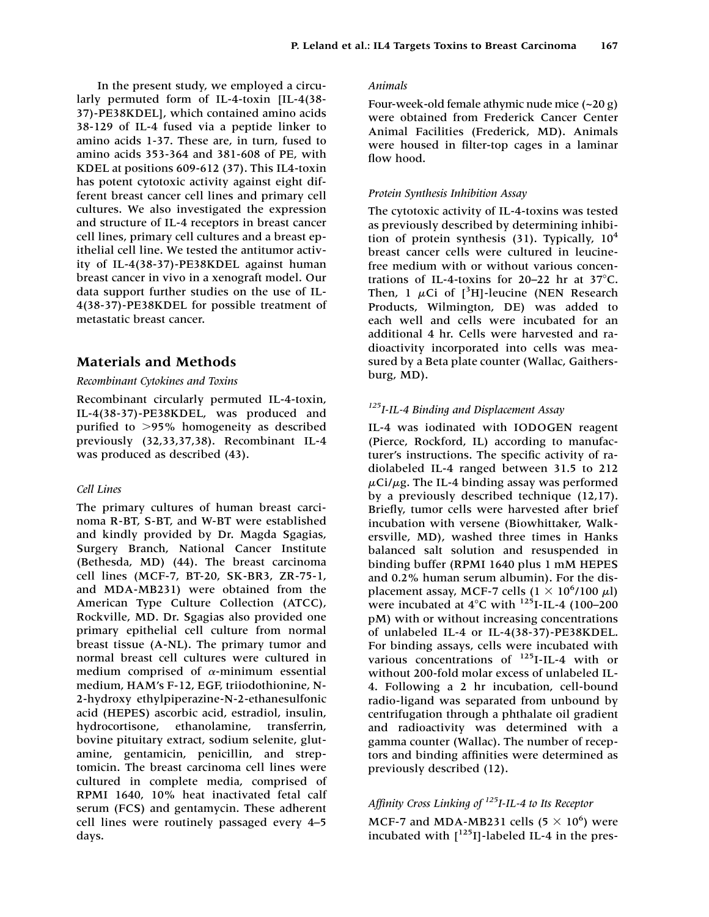In the present study, we employed a circularly permuted form of IL-4-toxin [IL-4(38- 37)-PE38KDEL], which contained amino acids 38-129 of IL-4 fused via a peptide linker to amino acids 1-37. These are, in turn, fused to amino acids 353-364 and 381-608 of PE, with KDEL at positions 609-612 (37). This IL4-toxin has potent cytotoxic activity against eight different breast cancer cell lines and primary cell cultures. We also investigated the expression and structure of IL-4 receptors in breast cancer cell lines, primary cell cultures and a breast epithelial cell line. We tested the antitumor activity of IL-4(38-37)-PE38KDEL against human breast cancer in vivo in a xenograft model. Our data support further studies on the use of IL-4(38-37)-PE38KDEL for possible treatment of metastatic breast cancer.

## **Materials and Methods**

#### *Recombinant Cytokines and Toxins*

Recombinant circularly permuted IL-4-toxin, IL-4(38-37)-PE38KDEL, was produced and purified to 95% homogeneity as described previously (32,33,37,38). Recombinant IL-4 was produced as described (43).

#### *Cell Lines*

The primary cultures of human breast carcinoma R-BT, S-BT, and W-BT were established and kindly provided by Dr. Magda Sgagias, Surgery Branch, National Cancer Institute (Bethesda, MD) (44). The breast carcinoma cell lines (MCF-7, BT-20, SK-BR3, ZR-75-1, and MDA-MB231) were obtained from the American Type Culture Collection (ATCC), Rockville, MD. Dr. Sgagias also provided one primary epithelial cell culture from normal breast tissue (A-NL). The primary tumor and normal breast cell cultures were cultured in medium comprised of  $\alpha$ -minimum essential medium, HAM's F-12, EGF, triiodothionine, N-2-hydroxy ethylpiperazine-N-2-ethanesulfonic acid (HEPES) ascorbic acid, estradiol, insulin, hydrocortisone, ethanolamine, transferrin, bovine pituitary extract, sodium selenite, glutamine, gentamicin, penicillin, and streptomicin. The breast carcinoma cell lines were cultured in complete media, comprised of RPMI 1640, 10% heat inactivated fetal calf serum (FCS) and gentamycin. These adherent cell lines were routinely passaged every 4–5 days.

#### *Animals*

Four-week-old female athymic nude mice (~20 g) were obtained from Frederick Cancer Center Animal Facilities (Frederick, MD). Animals were housed in filter-top cages in a laminar flow hood.

#### *Protein Synthesis Inhibition Assay*

The cytotoxic activity of IL-4-toxins was tested as previously described by determining inhibition of protein synthesis (31). Typically,  $10<sup>4</sup>$ breast cancer cells were cultured in leucinefree medium with or without various concentrations of IL-4-toxins for  $20-22$  hr at  $37^{\circ}$ C. Then, 1  $\mu$ Ci of [<sup>3</sup>H]-leucine (NEN Research Products, Wilmington, DE) was added to each well and cells were incubated for an additional 4 hr. Cells were harvested and radioactivity incorporated into cells was measured by a Beta plate counter (Wallac, Gaithersburg, MD).

## *125I-IL-4 Binding and Displacement Assay*

IL-4 was iodinated with IODOGEN reagent (Pierce, Rockford, IL) according to manufacturer's instructions. The specific activity of radiolabeled IL-4 ranged between 31.5 to 212  $\mu$ Ci/ $\mu$ g. The IL-4 binding assay was performed by a previously described technique (12,17). Briefly, tumor cells were harvested after brief incubation with versene (Biowhittaker, Walkersville, MD), washed three times in Hanks balanced salt solution and resuspended in binding buffer (RPMI 1640 plus 1 mM HEPES and 0.2% human serum albumin). For the displacement assay, MCF-7 cells  $(1 \times 10^6/100 \mu l)$ were incubated at  $4^{\circ}$ C with <sup>125</sup>I-IL-4 (100–200 pM) with or without increasing concentrations of unlabeled IL-4 or IL-4(38-37)-PE38KDEL. For binding assays, cells were incubated with various concentrations of <sup>125</sup>I-IL-4 with or without 200-fold molar excess of unlabeled IL-4. Following a 2 hr incubation, cell-bound radio-ligand was separated from unbound by centrifugation through a phthalate oil gradient and radioactivity was determined with a gamma counter (Wallac). The number of receptors and binding affinities were determined as previously described (12).

## *Affinity Cross Linking of 125I-IL-4 to Its Receptor*

MCF-7 and MDA-MB231 cells (5  $\times$  10<sup>6</sup>) were incubated with  $\lceil$ <sup>125</sup>I]-labeled IL-4 in the pres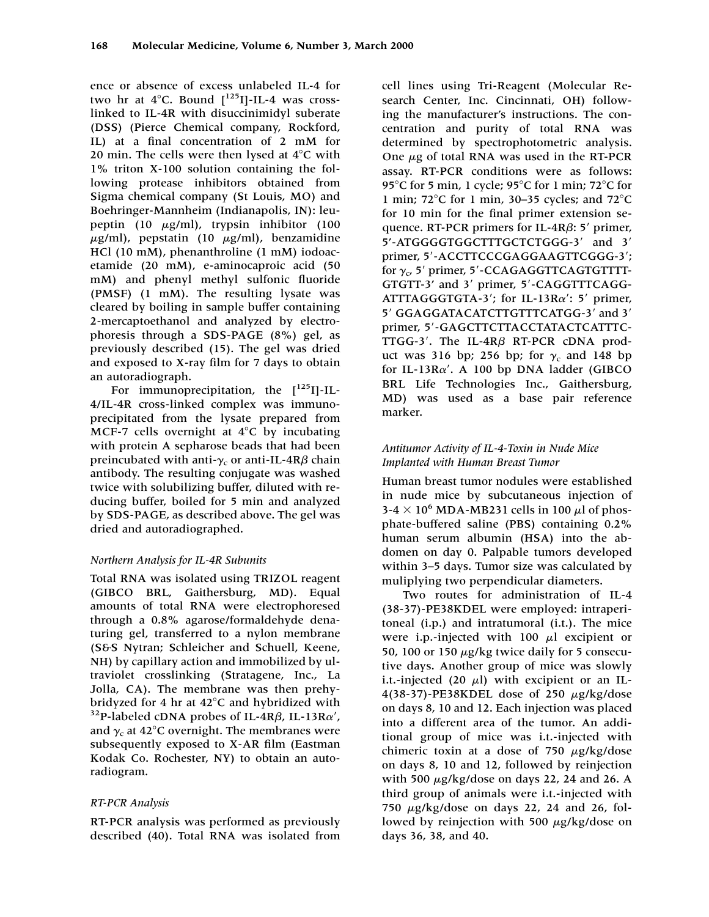ence or absence of excess unlabeled IL-4 for two hr at  $4^{\circ}$ C. Bound  $\lbrack$ <sup>125</sup>I]-IL-4 was crosslinked to IL-4R with disuccinimidyl suberate (DSS) (Pierce Chemical company, Rockford, IL) at a final concentration of 2 mM for 20 min. The cells were then lysed at  $4^{\circ}$ C with 1% triton X-100 solution containing the following protease inhibitors obtained from Sigma chemical company (St Louis, MO) and Boehringer-Mannheim (Indianapolis, IN): leupeptin (10  $\mu$ g/ml), trypsin inhibitor (100  $\mu$ g/ml), pepstatin (10  $\mu$ g/ml), benzamidine HCl (10 mM), phenanthroline (1 mM) iodoacetamide (20 mM), e-aminocaproic acid (50 mM) and phenyl methyl sulfonic fluoride (PMSF) (1 mM). The resulting lysate was cleared by boiling in sample buffer containing 2-mercaptoethanol and analyzed by electrophoresis through a SDS-PAGE (8%) gel, as previously described (15). The gel was dried and exposed to X-ray film for 7 days to obtain an autoradiograph.

For immunoprecipitation, the  $[125]$ -IL-4/IL-4R cross-linked complex was immunoprecipitated from the lysate prepared from MCF-7 cells overnight at  $4^{\circ}$ C by incubating with protein A sepharose beads that had been preincubated with anti- $\gamma_{\rm c}$  or anti-IL-4R $\beta$  chain antibody. The resulting conjugate was washed twice with solubilizing buffer, diluted with reducing buffer, boiled for 5 min and analyzed by SDS-PAGE, as described above. The gel was dried and autoradiographed.

## *Northern Analysis for IL-4R Subunits*

Total RNA was isolated using TRIZOL reagent (GIBCO BRL, Gaithersburg, MD). Equal amounts of total RNA were electrophoresed through a 0.8% agarose/formaldehyde denaturing gel, transferred to a nylon membrane (S&S Nytran; Schleicher and Schuell, Keene, NH) by capillary action and immobilized by ultraviolet crosslinking (Stratagene, Inc., La Jolla, CA). The membrane was then prehybridyzed for 4 hr at 42°C and hybridized with<br><sup>32</sup>P-labeled cDNA probes of IL-4R*β*, IL-13R*α'*, and  $\gamma_c$  at 42°C overnight. The membranes were subsequently exposed to X-AR film (Eastman Kodak Co. Rochester, NY) to obtain an autoradiogram.

## *RT-PCR Analysis*

RT-PCR analysis was performed as previously described (40). Total RNA was isolated from cell lines using Tri-Reagent (Molecular Research Center, Inc. Cincinnati, OH) following the manufacturer's instructions. The concentration and purity of total RNA was determined by spectrophotometric analysis. One  $\mu$ g of total RNA was used in the RT-PCR assay. RT-PCR conditions were as follows: 95°C for 5 min, 1 cycle; 95°C for 1 min; 72°C for 1 min;  $72^{\circ}$ C for 1 min, 30–35 cycles; and  $72^{\circ}$ C for 10 min for the final primer extension sequence. RT-PCR primers for IL-4R $\beta$ : 5' primer, 5'-ATGGGGTGGCTTTGCTCTGGG-3' and 3' primer, 5'-ACCTTCCCGAGGAAGTTCGGG-3'; for  $\gamma_{\rm c}$  5' primer, 5'-CCAGAGGTTCAGTGTTTT-GTGTT-3' and 3' primer, 5'-CAGGTTTCAGG-ATTTAGGGTGTA-3'; for IL-13R $\alpha$ ': 5' primer, 5' GGAGGATACATCTTGTTTCATGG-3' and 3' primer, 5'-GAGCTTCTTACCTATACTCATTTC-TTGG-3'. The IL-4R $\beta$  RT-PCR cDNA product was 316 bp; 256 bp; for  $\gamma_c$  and 148 bp for IL-13R $\alpha'$ . A 100 bp DNA ladder (GIBCO BRL Life Technologies Inc., Gaithersburg, MD) was used as a base pair reference marker.

## *Antitumor Activity of IL-4-Toxin in Nude Mice Implanted with Human Breast Tumor*

Human breast tumor nodules were established in nude mice by subcutaneous injection of 3-4  $\times$  10<sup>6</sup> MDA-MB231 cells in 100  $\mu$ l of phosphate-buffered saline (PBS) containing 0.2% human serum albumin (HSA) into the abdomen on day 0. Palpable tumors developed within 3–5 days. Tumor size was calculated by muliplying two perpendicular diameters.

Two routes for administration of IL-4 (38-37)-PE38KDEL were employed: intraperitoneal (i.p.) and intratumoral (i.t.). The mice were i.p.-injected with 100  $\mu$ l excipient or 50, 100 or 150  $\mu$ g/kg twice daily for 5 consecutive days. Another group of mice was slowly i.t.-injected (20  $\mu$ l) with excipient or an IL-4(38-37)-PE38KDEL dose of 250  $\mu$ g/kg/dose on days 8, 10 and 12. Each injection was placed into a different area of the tumor. An additional group of mice was i.t.-injected with chimeric toxin at a dose of 750  $\mu$ g/kg/dose on days 8, 10 and 12, followed by reinjection with 500  $\mu$ g/kg/dose on days 22, 24 and 26. A third group of animals were i.t.-injected with 750  $\mu$ g/kg/dose on days 22, 24 and 26, followed by reinjection with 500  $\mu$ g/kg/dose on days 36, 38, and 40.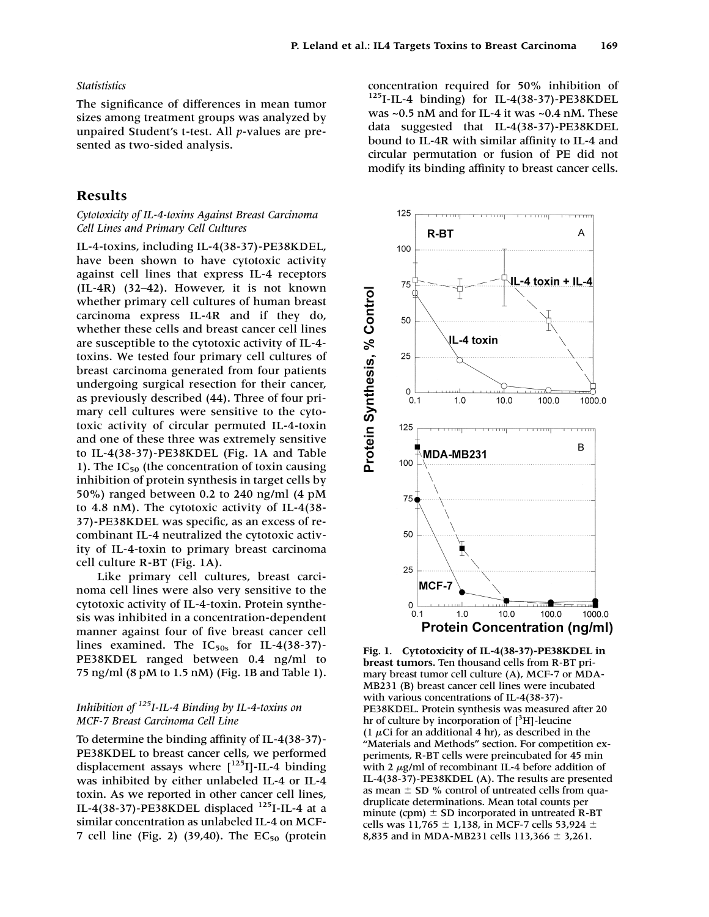#### *Statististics*

The significance of differences in mean tumor sizes among treatment groups was analyzed by unpaired Student's t-test. All *p*-values are presented as two-sided analysis.

#### **Results**

#### *Cytotoxicity of IL-4-toxins Against Breast Carcinoma Cell Lines and Primary Cell Cultures*

IL-4-toxins, including IL-4(38-37)-PE38KDEL, have been shown to have cytotoxic activity against cell lines that express IL-4 receptors (IL-4R) (32–42). However, it is not known whether primary cell cultures of human breast carcinoma express IL-4R and if they do, whether these cells and breast cancer cell lines are susceptible to the cytotoxic activity of IL-4 toxins. We tested four primary cell cultures of breast carcinoma generated from four patients undergoing surgical resection for their cancer, as previously described (44). Three of four primary cell cultures were sensitive to the cytotoxic activity of circular permuted IL-4-toxin and one of these three was extremely sensitive to IL-4(38-37)-PE38KDEL (Fig. 1A and Table 1). The  $IC_{50}$  (the concentration of toxin causing inhibition of protein synthesis in target cells by 50%) ranged between 0.2 to 240 ng/ml (4 pM to 4.8 nM). The cytotoxic activity of IL-4(38- 37)-PE38KDEL was specific, as an excess of recombinant IL-4 neutralized the cytotoxic activity of IL-4-toxin to primary breast carcinoma cell culture R-BT (Fig. 1A).

Like primary cell cultures, breast carcinoma cell lines were also very sensitive to the cytotoxic activity of IL-4-toxin. Protein synthesis was inhibited in a concentration-dependent manner against four of five breast cancer cell lines examined. The  $IC_{50s}$  for IL-4(38-37)-PE38KDEL ranged between 0.4 ng/ml to 75 ng/ml (8 pM to 1.5 nM) (Fig. 1B and Table 1).

## *Inhibition of 125I-IL-4 Binding by IL-4-toxins on MCF-7 Breast Carcinoma Cell Line*

To determine the binding affinity of IL-4(38-37)- PE38KDEL to breast cancer cells, we performed displacement assays where  $[$ <sup>125</sup>I]-IL-4 binding was inhibited by either unlabeled IL-4 or IL-4 toxin. As we reported in other cancer cell lines, IL-4(38-37)-PE38KDEL displaced  $^{125}$ I-IL-4 at a similar concentration as unlabeled IL-4 on MCF-7 cell line (Fig. 2) (39,40). The  $EC_{50}$  (protein

concentration required for 50% inhibition of  $125$ I-IL-4 binding) for IL-4(38-37)-PE38KDEL was ~0.5 nM and for IL-4 it was ~0.4 nM. These data suggested that IL-4(38-37)-PE38KDEL bound to IL-4R with similar affinity to IL-4 and circular permutation or fusion of PE did not modify its binding affinity to breast cancer cells.



**Fig. 1. Cytotoxicity of IL-4(38-37)-PE38KDEL in breast tumors.** Ten thousand cells from R-BT primary breast tumor cell culture (A), MCF-7 or MDA-MB231 (B) breast cancer cell lines were incubated with various concentrations of IL-4(38-37)- PE38KDEL. Protein synthesis was measured after 20 hr of culture by incorporation of  $[^3H]$ -leucine (1  $\mu$ Ci for an additional 4 hr), as described in the "Materials and Methods" section. For competition experiments, R-BT cells were preincubated for 45 min with 2  $\mu$ g/ml of recombinant IL-4 before addition of IL-4(38-37)-PE38KDEL (A). The results are presented as mean  $\pm$  SD % control of untreated cells from quadruplicate determinations. Mean total counts per minute (cpm)  $\pm$  SD incorporated in untreated R-BT cells was 11,765  $\pm$  1,138, in MCF-7 cells 53,924  $\pm$ 8,835 and in MDA-MB231 cells 113,366  $\pm$  3,261.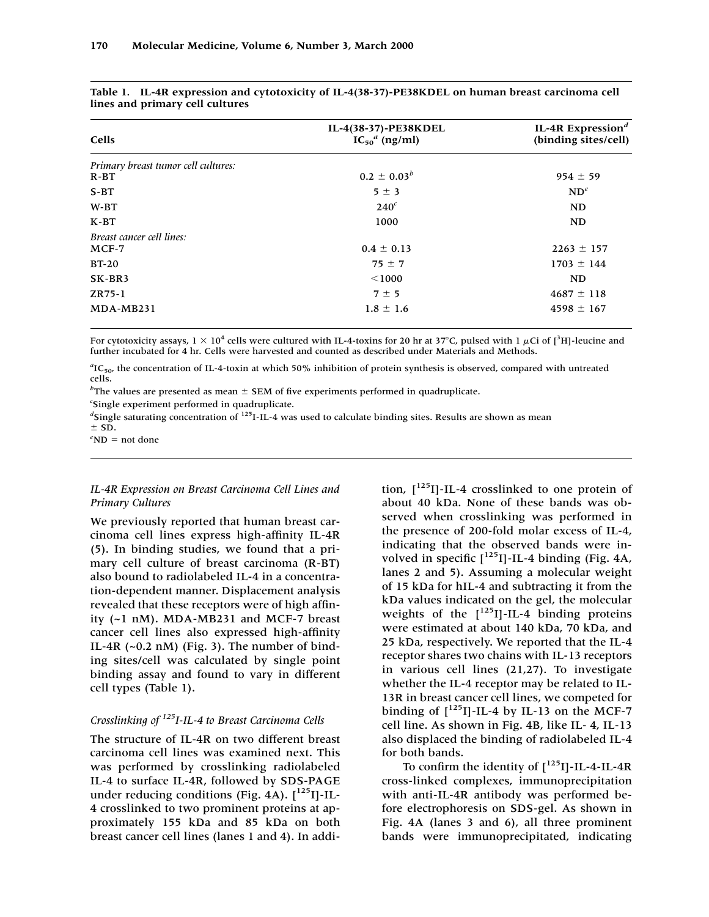| $0.2 \pm 0.03^b$ | $954 \pm 59$   |
|------------------|----------------|
|                  |                |
|                  |                |
|                  | $ND^e$         |
| $240^c$          | ND             |
| 1000             | ND             |
|                  |                |
| $0.4 \pm 0.13$   | $2263 \pm 157$ |
| $75 \pm 7$       | $1703 \pm 144$ |
| < 1000           | ND             |
| $7 \pm 5$        | $4687 \pm 118$ |
| $1.8 \pm 1.6$    | $4598 \pm 167$ |
|                  | $5 \pm 3$      |

| Table 1. IL-4R expression and cytotoxicity of IL-4(38-37)-PE38KDEL on human breast carcinoma cell |  |  |  |  |
|---------------------------------------------------------------------------------------------------|--|--|--|--|
| lines and primary cell cultures                                                                   |  |  |  |  |

For cytotoxicity assays,  $1 \times 10^4$  cells were cultured with IL-4-toxins for 20 hr at 37°C, pulsed with 1 µCi of [<sup>3</sup>H]-leucine and further incubated for 4 hr. Cells were harvested and counted as described under Materials and Methods.

<sup>a</sup>IC<sub>50</sub>, the concentration of IL-4-toxin at which 50% inhibition of protein synthesis is observed, compared with untreated cells.

<sup>*b*</sup>The values are presented as mean  $\pm$  SEM of five experiments performed in quadruplicate.

*c* Single experiment performed in quadruplicate.

<sup>d</sup>Single saturating concentration of <sup>125</sup>I-IL-4 was used to calculate binding sites. Results are shown as mean

 $\pm$  SD.

#### $e^e$ ND = not done

### *IL-4R Expression on Breast Carcinoma Cell Lines and Primary Cultures*

We previously reported that human breast carcinoma cell lines express high-affinity IL-4R (5). In binding studies, we found that a primary cell culture of breast carcinoma (R-BT) also bound to radiolabeled IL-4 in a concentration-dependent manner. Displacement analysis revealed that these receptors were of high affinity (~1 nM). MDA-MB231 and MCF-7 breast cancer cell lines also expressed high-affinity IL-4R (~0.2 nM) (Fig. 3). The number of binding sites/cell was calculated by single point binding assay and found to vary in different cell types (Table 1).

## *Crosslinking of 125I-IL-4 to Breast Carcinoma Cells*

The structure of IL-4R on two different breast carcinoma cell lines was examined next. This was performed by crosslinking radiolabeled IL-4 to surface IL-4R, followed by SDS-PAGE under reducing conditions (Fig.  $4\text{\AA}$ ).  $\left[\begin{array}{c}125\\1\end{array}\right]$ -IL-4 crosslinked to two prominent proteins at approximately 155 kDa and 85 kDa on both breast cancer cell lines (lanes 1 and 4). In addition,  $[^{125}I]$ -IL-4 crosslinked to one protein of about 40 kDa. None of these bands was observed when crosslinking was performed in the presence of 200-fold molar excess of IL-4, indicating that the observed bands were involved in specific  $\lceil^{125} \text{I} \rceil$ -IL-4 binding (Fig. 4A, lanes 2 and 5). Assuming a molecular weight of 15 kDa for hIL-4 and subtracting it from the kDa values indicated on the gel, the molecular weights of the  $[$ <sup>125</sup>I]-IL-4 binding proteins were estimated at about 140 kDa, 70 kDa, and 25 kDa, respectively. We reported that the IL-4 receptor shares two chains with IL-13 receptors in various cell lines (21,27). To investigate whether the IL-4 receptor may be related to IL-13R in breast cancer cell lines, we competed for binding of  $[^{125}I]$ -IL-4 by IL-13 on the MCF-7 cell line. As shown in Fig. 4B, like IL- 4, IL-13 also displaced the binding of radiolabeled IL-4 for both bands.

To confirm the identity of  $\lceil 125 \rceil$ -IL-4-IL-4R cross-linked complexes, immunoprecipitation with anti-IL-4R antibody was performed before electrophoresis on SDS-gel. As shown in Fig. 4A (lanes 3 and 6), all three prominent bands were immunoprecipitated, indicating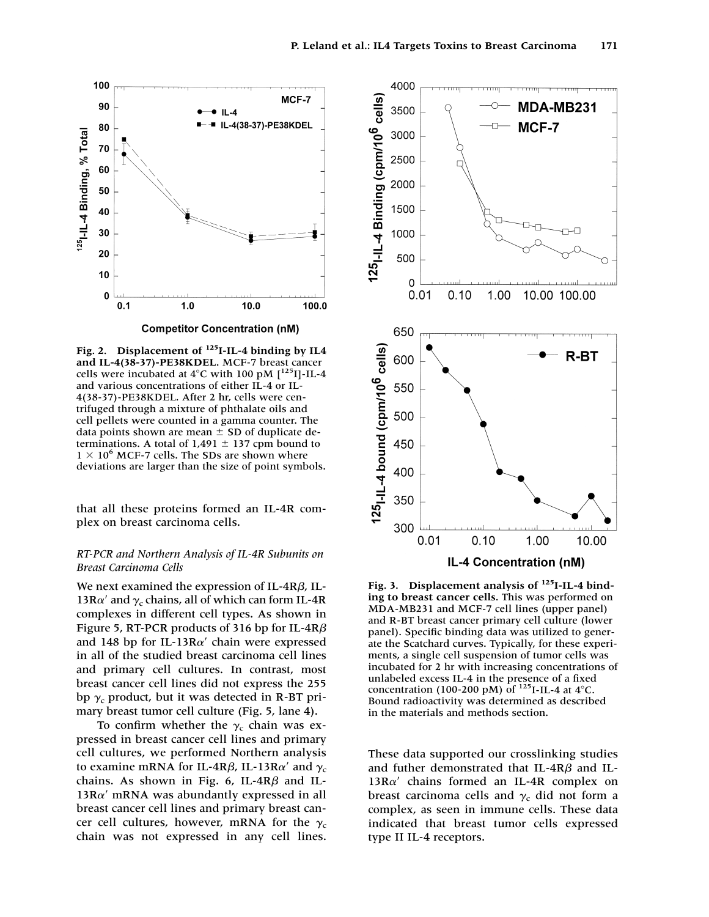

**Fig. 2. Displacement of 125I-IL-4 binding by IL4 and IL-4(38-37)-PE38KDEL.** MCF-7 breast cancer cells were incubated at  $4^{\circ}$ C with 100 pM  $[^{125}I]$ -IL-4 and various concentrations of either IL-4 or IL-4(38-37)-PE38KDEL. After 2 hr, cells were centrifuged through a mixture of phthalate oils and cell pellets were counted in a gamma counter. The data points shown are mean  $\pm$  SD of duplicate determinations. A total of  $1,491 \pm 137$  cpm bound to  $1 \times 10^6$  MCF-7 cells. The SDs are shown where deviations are larger than the size of point symbols.

that all these proteins formed an IL-4R complex on breast carcinoma cells.

### *RT-PCR and Northern Analysis of IL-4R Subunits on Breast Carcinoma Cells*

We next examined the expression of IL-4R $\beta$ , IL-13R $\alpha'$  and  $\gamma_c$  chains, all of which can form IL-4R complexes in different cell types. As shown in Figure 5, RT-PCR products of 316 bp for IL-4R $\beta$ and 148 bp for IL-13R $\alpha'$  chain were expressed in all of the studied breast carcinoma cell lines and primary cell cultures. In contrast, most breast cancer cell lines did not express the 255 bp  $\gamma_c$  product, but it was detected in R-BT primary breast tumor cell culture (Fig. 5, lane 4).

To confirm whether the  $\gamma_c$  chain was expressed in breast cancer cell lines and primary cell cultures, we performed Northern analysis to examine mRNA for IL-4R $\beta$ , IL-13R $\alpha'$  and  $\gamma_{\rm c}$ chains. As shown in Fig. 6, IL-4R $\beta$  and IL- $13R\alpha'$  mRNA was abundantly expressed in all breast cancer cell lines and primary breast cancer cell cultures, however, mRNA for the  $\gamma_c$ chain was not expressed in any cell lines.



**Fig. 3. Displacement analysis of 125I-IL-4 binding to breast cancer cells.** This was performed on MDA-MB231 and MCF-7 cell lines (upper panel) and R-BT breast cancer primary cell culture (lower panel). Specific binding data was utilized to generate the Scatchard curves. Typically, for these experiments, a single cell suspension of tumor cells was incubated for 2 hr with increasing concentrations of unlabeled excess IL-4 in the presence of a fixed concentration (100-200 pM) of  $^{125}$ I-IL-4 at  $4^{\circ}$ C. Bound radioactivity was determined as described in the materials and methods section.

These data supported our crosslinking studies and futher demonstrated that IL-4R $\beta$  and IL- $13R\alpha'$  chains formed an IL-4R complex on breast carcinoma cells and  $\gamma_c$  did not form a complex, as seen in immune cells. These data indicated that breast tumor cells expressed type II IL-4 receptors.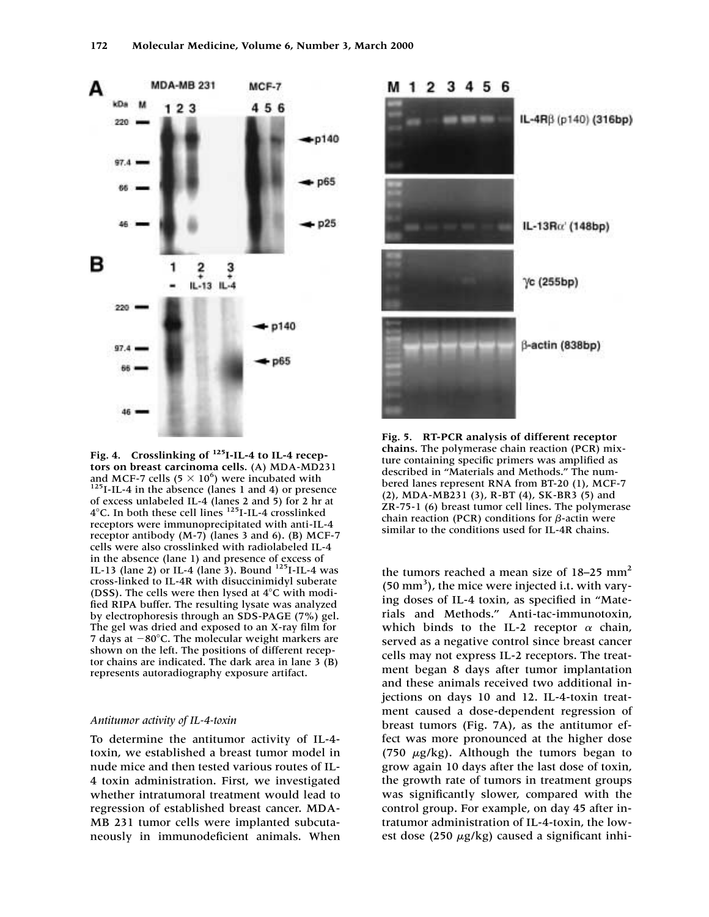

**Fig. 4. Crosslinking of 125I-IL-4 to IL-4 receptors on breast carcinoma cells.** (A) MDA-MD231 and MCF-7 cells (5  $\times$  10<sup>6</sup>) were incubated with  $125$ I-IL-4 in the absence (lanes 1 and 4) or presence of excess unlabeled IL-4 (lanes 2 and 5) for 2 hr at  $4^{\circ}$ C. In both these cell lines  $125$ I-IL-4 crosslinked receptors were immunoprecipitated with anti-IL-4 receptor antibody (M-7) (lanes 3 and 6). (B) MCF-7 cells were also crosslinked with radiolabeled IL-4 in the absence (lane 1) and presence of excess of IL-13 (lane 2) or IL-4 (lane 3). Bound 125I-IL-4 was cross-linked to IL-4R with disuccinimidyl suberate (DSS). The cells were then lysed at  $4^{\circ}$ C with modified RIPA buffer. The resulting lysate was analyzed by electrophoresis through an SDS-PAGE (7%) gel. The gel was dried and exposed to an X-ray film for 7 days at  $-80^{\circ}$ C. The molecular weight markers are shown on the left. The positions of different receptor chains are indicated. The dark area in lane 3 (B) represents autoradiography exposure artifact.

#### *Antitumor activity of IL-4-toxin*

To determine the antitumor activity of IL-4 toxin, we established a breast tumor model in nude mice and then tested various routes of IL-4 toxin administration. First, we investigated whether intratumoral treatment would lead to regression of established breast cancer. MDA-MB 231 tumor cells were implanted subcutaneously in immunodeficient animals. When



**Fig. 5. RT-PCR analysis of different receptor chains.** The polymerase chain reaction (PCR) mixture containing specific primers was amplified as described in "Materials and Methods." The numbered lanes represent RNA from BT-20 (1), MCF-7 (2), MDA-MB231 (3), R-BT (4), SK-BR3 (5) and ZR-75-1 (6) breast tumor cell lines. The polymerase chain reaction (PCR) conditions for  $\beta$ -actin were similar to the conditions used for IL-4R chains.

the tumors reached a mean size of  $18-25$  mm<sup>2</sup> (50 mm<sup>3</sup>), the mice were injected i.t. with varying doses of IL-4 toxin, as specified in "Materials and Methods." Anti-tac-immunotoxin, which binds to the IL-2 receptor  $\alpha$  chain, served as a negative control since breast cancer cells may not express IL-2 receptors. The treatment began 8 days after tumor implantation and these animals received two additional injections on days 10 and 12. IL-4-toxin treatment caused a dose-dependent regression of breast tumors (Fig. 7A), as the antitumor effect was more pronounced at the higher dose (750  $\mu$ g/kg). Although the tumors began to grow again 10 days after the last dose of toxin, the growth rate of tumors in treatment groups was significantly slower, compared with the control group. For example, on day 45 after intratumor administration of IL-4-toxin, the lowest dose (250  $\mu$ g/kg) caused a significant inhi-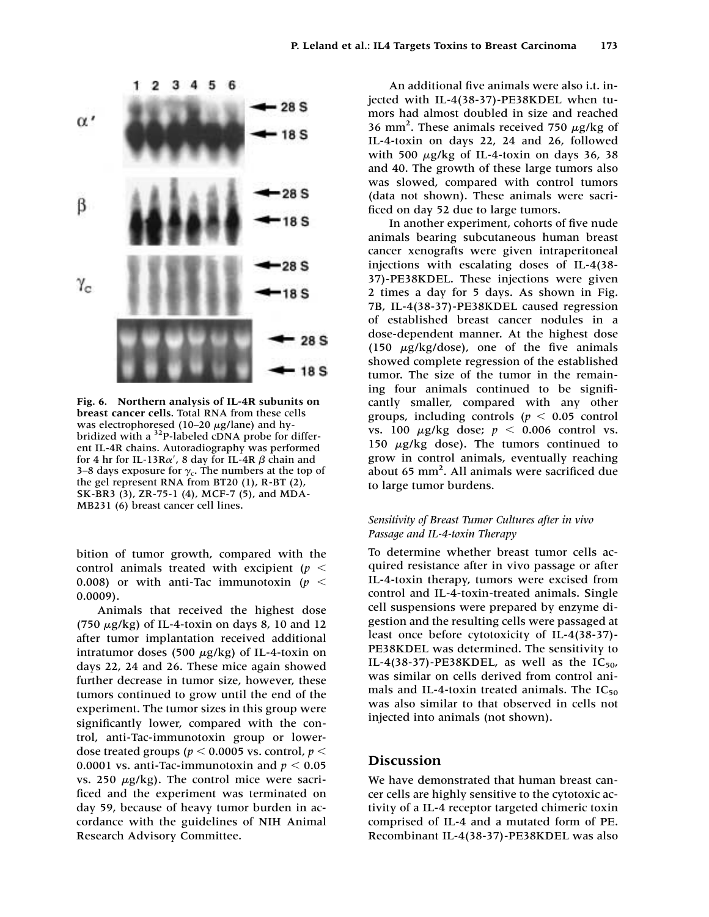

**Fig. 6. Northern analysis of IL-4R subunits on breast cancer cells.** Total RNA from these cells was electrophoresed (10–20  $\mu$ g/lane) and hybridized with a <sup>32</sup>P-labeled cDNA probe for different IL-4R chains. Autoradiography was performed for 4 hr for IL-13R $\alpha'$ , 8 day for IL-4R  $\beta$  chain and 3–8 days exposure for  $\gamma_c$ . The numbers at the top of the gel represent RNA from BT20 (1), R-BT (2), SK-BR3 (3), ZR-75-1 (4), MCF-7 (5), and MDA-MB231 (6) breast cancer cell lines.

bition of tumor growth, compared with the control animals treated with excipient (*p* 0.008) or with anti-Tac immunotoxin ( $p <$ 0.0009).

Animals that received the highest dose (750  $\mu$ g/kg) of IL-4-toxin on days 8, 10 and 12 after tumor implantation received additional intratumor doses (500  $\mu$ g/kg) of IL-4-toxin on days 22, 24 and 26. These mice again showed further decrease in tumor size, however, these tumors continued to grow until the end of the experiment. The tumor sizes in this group were significantly lower, compared with the control, anti-Tac-immunotoxin group or lowerdose treated groups ( $p < 0.0005$  vs. control,  $p <$ 0.0001 vs. anti-Tac-immunotoxin and  $p < 0.05$ vs. 250  $\mu$ g/kg). The control mice were sacrificed and the experiment was terminated on day 59, because of heavy tumor burden in accordance with the guidelines of NIH Animal Research Advisory Committee.

An additional five animals were also i.t. injected with IL-4(38-37)-PE38KDEL when tumors had almost doubled in size and reached 36 mm<sup>2</sup>. These animals received 750  $\mu$ g/kg of IL-4-toxin on days 22, 24 and 26, followed with 500  $\mu$ g/kg of IL-4-toxin on days 36, 38 and 40. The growth of these large tumors also was slowed, compared with control tumors (data not shown). These animals were sacrificed on day 52 due to large tumors.

In another experiment, cohorts of five nude animals bearing subcutaneous human breast cancer xenografts were given intraperitoneal injections with escalating doses of IL-4(38- 37)-PE38KDEL. These injections were given 2 times a day for 5 days. As shown in Fig. 7B, IL-4(38-37)-PE38KDEL caused regression of established breast cancer nodules in a dose-dependent manner. At the highest dose (150  $\mu$ g/kg/dose), one of the five animals showed complete regression of the established tumor. The size of the tumor in the remaining four animals continued to be significantly smaller, compared with any other groups, including controls  $(p < 0.05$  control vs. 100  $\mu$ g/kg dose;  $p < 0.006$  control vs. 150  $\mu$ g/kg dose). The tumors continued to grow in control animals, eventually reaching about 65 mm<sup>2</sup>. All animals were sacrificed due to large tumor burdens.

#### *Sensitivity of Breast Tumor Cultures after in vivo Passage and IL-4-toxin Therapy*

To determine whether breast tumor cells acquired resistance after in vivo passage or after IL-4-toxin therapy, tumors were excised from control and IL-4-toxin-treated animals. Single cell suspensions were prepared by enzyme digestion and the resulting cells were passaged at least once before cytotoxicity of IL-4(38-37)- PE38KDEL was determined. The sensitivity to IL-4(38-37)-PE38KDEL, as well as the  $IC_{50}$ , was similar on cells derived from control animals and IL-4-toxin treated animals. The  $IC_{50}$ was also similar to that observed in cells not injected into animals (not shown).

#### **Discussion**

We have demonstrated that human breast cancer cells are highly sensitive to the cytotoxic activity of a IL-4 receptor targeted chimeric toxin comprised of IL-4 and a mutated form of PE. Recombinant IL-4(38-37)-PE38KDEL was also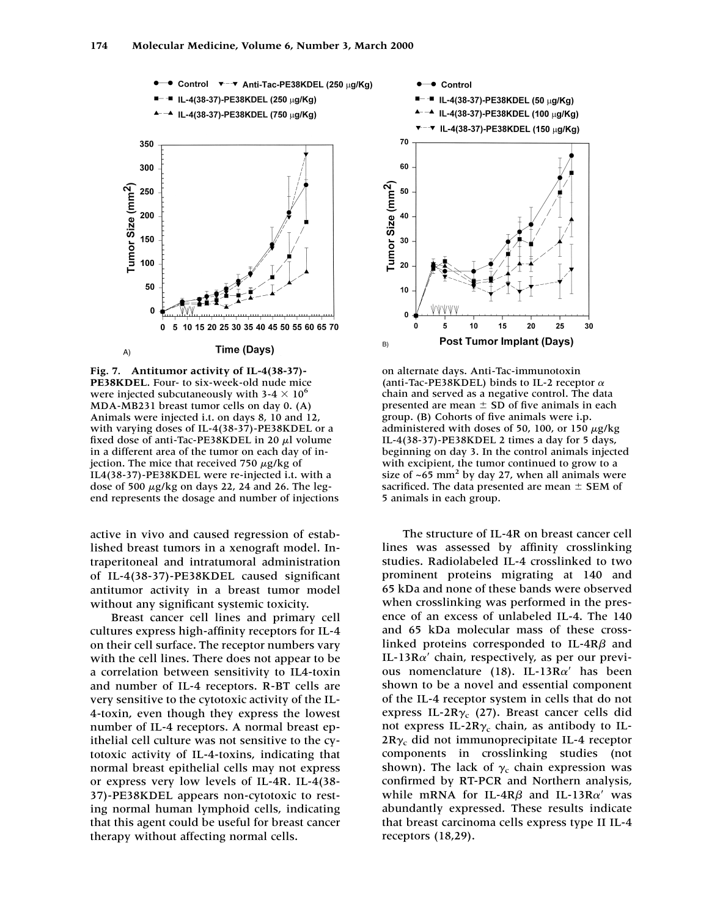

**Fig. 7. Antitumor activity of IL-4(38-37)- PE38KDEL.** Four- to six-week-old nude mice were injected subcutaneously with  $3-4 \times 10^6$ MDA-MB231 breast tumor cells on day 0. (A) Animals were injected i.t. on days 8, 10 and 12, with varying doses of IL-4(38-37)-PE38KDEL or a fixed dose of anti-Tac-PE38KDEL in 20  $\mu$ l volume in a different area of the tumor on each day of injection. The mice that received 750  $\mu$ g/kg of IL4(38-37)-PE38KDEL were re-injected i.t. with a dose of 500  $\mu$ g/kg on days 22, 24 and 26. The legend represents the dosage and number of injections

active in vivo and caused regression of established breast tumors in a xenograft model. Intraperitoneal and intratumoral administration of IL-4(38-37)-PE38KDEL caused significant antitumor activity in a breast tumor model without any significant systemic toxicity.

Breast cancer cell lines and primary cell cultures express high-affinity receptors for IL-4 on their cell surface. The receptor numbers vary with the cell lines. There does not appear to be a correlation between sensitivity to IL4-toxin and number of IL-4 receptors. R-BT cells are very sensitive to the cytotoxic activity of the IL-4-toxin, even though they express the lowest number of IL-4 receptors. A normal breast epithelial cell culture was not sensitive to the cytotoxic activity of IL-4-toxins, indicating that normal breast epithelial cells may not express or express very low levels of IL-4R. IL-4(38- 37)-PE38KDEL appears non-cytotoxic to resting normal human lymphoid cells, indicating that this agent could be useful for breast cancer therapy without affecting normal cells.



on alternate days. Anti-Tac-immunotoxin (anti-Tac-PE38KDEL) binds to IL-2 receptor  $\alpha$ chain and served as a negative control. The data presented are mean  $\pm$  SD of five animals in each group. (B) Cohorts of five animals were i.p. administered with doses of 50, 100, or 150  $\mu$ g/kg IL-4(38-37)-PE38KDEL 2 times a day for 5 days, beginning on day 3. In the control animals injected with excipient, the tumor continued to grow to a size of  $\sim 65$  mm<sup>2</sup> by day 27, when all animals were sacrificed. The data presented are mean  $\pm$  SEM of 5 animals in each group.

The structure of IL-4R on breast cancer cell lines was assessed by affinity crosslinking studies. Radiolabeled IL-4 crosslinked to two prominent proteins migrating at 140 and 65 kDa and none of these bands were observed when crosslinking was performed in the presence of an excess of unlabeled IL-4. The 140 and 65 kDa molecular mass of these crosslinked proteins corresponded to IL-4R $\beta$  and IL-13R $\alpha'$  chain, respectively, as per our previous nomenclature (18). IL-13 $R\alpha'$  has been shown to be a novel and essential component of the IL-4 receptor system in cells that do not express IL-2R $\gamma_c$  (27). Breast cancer cells did not express IL-2R $\gamma_c$  chain, as antibody to IL- $2R\gamma_c$  did not immunoprecipitate IL-4 receptor components in crosslinking studies (not shown). The lack of  $\gamma_c$  chain expression was confirmed by RT-PCR and Northern analysis, while mRNA for IL-4R $\beta$  and IL-13R $\alpha'$  was abundantly expressed. These results indicate that breast carcinoma cells express type II IL-4 receptors (18,29).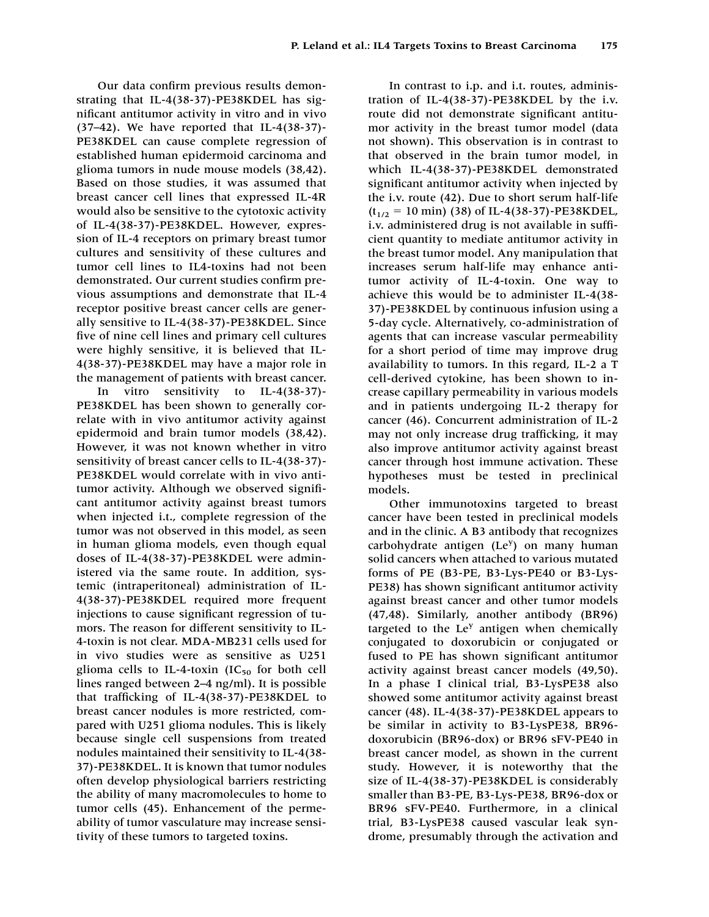Our data confirm previous results demonstrating that IL-4(38-37)-PE38KDEL has significant antitumor activity in vitro and in vivo (37–42). We have reported that IL-4(38-37)- PE38KDEL can cause complete regression of established human epidermoid carcinoma and glioma tumors in nude mouse models (38,42). Based on those studies, it was assumed that breast cancer cell lines that expressed IL-4R would also be sensitive to the cytotoxic activity of IL-4(38-37)-PE38KDEL. However, expression of IL-4 receptors on primary breast tumor cultures and sensitivity of these cultures and tumor cell lines to IL4-toxins had not been demonstrated. Our current studies confirm previous assumptions and demonstrate that IL-4 receptor positive breast cancer cells are generally sensitive to IL-4(38-37)-PE38KDEL. Since five of nine cell lines and primary cell cultures were highly sensitive, it is believed that IL-4(38-37)-PE38KDEL may have a major role in the management of patients with breast cancer.

In vitro sensitivity to IL-4(38-37)- PE38KDEL has been shown to generally correlate with in vivo antitumor activity against epidermoid and brain tumor models (38,42). However, it was not known whether in vitro sensitivity of breast cancer cells to IL-4(38-37)- PE38KDEL would correlate with in vivo antitumor activity. Although we observed significant antitumor activity against breast tumors when injected i.t., complete regression of the tumor was not observed in this model, as seen in human glioma models, even though equal doses of IL-4(38-37)-PE38KDEL were administered via the same route. In addition, systemic (intraperitoneal) administration of IL-4(38-37)-PE38KDEL required more frequent injections to cause significant regression of tumors. The reason for different sensitivity to IL-4-toxin is not clear. MDA-MB231 cells used for in vivo studies were as sensitive as U251 glioma cells to IL-4-toxin  $(IC_{50}$  for both cell lines ranged between 2–4 ng/ml). It is possible that trafficking of IL-4(38-37)-PE38KDEL to breast cancer nodules is more restricted, compared with U251 glioma nodules. This is likely because single cell suspensions from treated nodules maintained their sensitivity to IL-4(38- 37)-PE38KDEL. It is known that tumor nodules often develop physiological barriers restricting the ability of many macromolecules to home to tumor cells (45). Enhancement of the permeability of tumor vasculature may increase sensitivity of these tumors to targeted toxins.

In contrast to i.p. and i.t. routes, administration of IL-4(38-37)-PE38KDEL by the i.v. route did not demonstrate significant antitumor activity in the breast tumor model (data not shown). This observation is in contrast to that observed in the brain tumor model, in which IL-4(38-37)-PE38KDEL demonstrated significant antitumor activity when injected by the i.v. route (42). Due to short serum half-life  $(t_{1/2} = 10 \text{ min})$  (38) of IL-4(38-37)-PE38KDEL, i.v. administered drug is not available in sufficient quantity to mediate antitumor activity in the breast tumor model. Any manipulation that increases serum half-life may enhance antitumor activity of IL-4-toxin. One way to achieve this would be to administer IL-4(38- 37)-PE38KDEL by continuous infusion using a 5-day cycle. Alternatively, co-administration of agents that can increase vascular permeability for a short period of time may improve drug availability to tumors. In this regard, IL-2 a T cell-derived cytokine, has been shown to increase capillary permeability in various models and in patients undergoing IL-2 therapy for cancer (46). Concurrent administration of IL-2 may not only increase drug trafficking, it may also improve antitumor activity against breast cancer through host immune activation. These hypotheses must be tested in preclinical models.

Other immunotoxins targeted to breast cancer have been tested in preclinical models and in the clinic. A B3 antibody that recognizes  $carbohydrate$  antigen  $(Le<sup>y</sup>)$  on many human solid cancers when attached to various mutated forms of PE (B3-PE, B3-Lys-PE40 or B3-Lys-PE38) has shown significant antitumor activity against breast cancer and other tumor models (47,48). Similarly, another antibody (BR96) targeted to the  $Le<sup>y</sup>$  antigen when chemically conjugated to doxorubicin or conjugated or fused to PE has shown significant antitumor activity against breast cancer models (49,50). In a phase I clinical trial, B3-LysPE38 also showed some antitumor activity against breast cancer (48). IL-4(38-37)-PE38KDEL appears to be similar in activity to B3-LysPE38, BR96 doxorubicin (BR96-dox) or BR96 sFV-PE40 in breast cancer model, as shown in the current study. However, it is noteworthy that the size of IL-4(38-37)-PE38KDEL is considerably smaller than B3-PE, B3-Lys-PE38, BR96-dox or BR96 sFV-PE40. Furthermore, in a clinical trial, B3-LysPE38 caused vascular leak syndrome, presumably through the activation and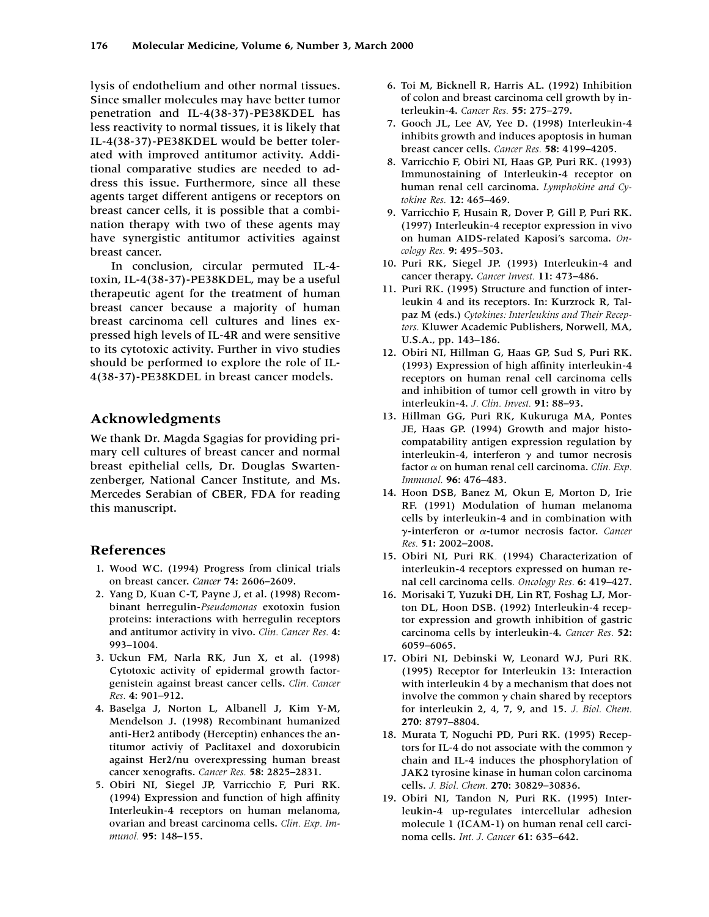lysis of endothelium and other normal tissues. Since smaller molecules may have better tumor penetration and IL-4(38-37)-PE38KDEL has less reactivity to normal tissues, it is likely that IL-4(38-37)-PE38KDEL would be better tolerated with improved antitumor activity. Additional comparative studies are needed to address this issue. Furthermore, since all these agents target different antigens or receptors on breast cancer cells, it is possible that a combination therapy with two of these agents may have synergistic antitumor activities against breast cancer.

In conclusion, circular permuted IL-4 toxin, IL-4(38-37)-PE38KDEL, may be a useful therapeutic agent for the treatment of human breast cancer because a majority of human breast carcinoma cell cultures and lines expressed high levels of IL-4R and were sensitive to its cytotoxic activity. Further in vivo studies should be performed to explore the role of IL-4(38-37)-PE38KDEL in breast cancer models.

## **Acknowledgments**

We thank Dr. Magda Sgagias for providing primary cell cultures of breast cancer and normal breast epithelial cells, Dr. Douglas Swartenzenberger, National Cancer Institute, and Ms. Mercedes Serabian of CBER, FDA for reading this manuscript.

## **References**

- 1. Wood WC. (1994) Progress from clinical trials on breast cancer. *Cancer* **74**: 2606–2609.
- 2. Yang D, Kuan C-T, Payne J, et al. (1998) Recombinant herregulin-*Pseudomonas* exotoxin fusion proteins: interactions with herregulin receptors and antitumor activity in vivo. *Clin. Cancer Res.* **4**: 993–1004.
- 3. Uckun FM, Narla RK, Jun X, et al. (1998) Cytotoxic activity of epidermal growth factorgenistein against breast cancer cells. *Clin. Cancer Res.* **4**: 901–912.
- 4. Baselga J, Norton L, Albanell J, Kim Y-M, Mendelson J. (1998) Recombinant humanized anti-Her2 antibody (Herceptin) enhances the antitumor activiy of Paclitaxel and doxorubicin against Her2/nu overexpressing human breast cancer xenografts. *Cancer Res.* **58**: 2825–2831.
- 5. Obiri NI, Siegel JP, Varricchio F, Puri RK. (1994) Expression and function of high affinity Interleukin-4 receptors on human melanoma, ovarian and breast carcinoma cells. *Clin. Exp. Immunol.* **95**: 148–155.
- 6. Toi M, Bicknell R, Harris AL. (1992) Inhibition of colon and breast carcinoma cell growth by interleukin-4. *Cancer Res.* **55**: 275–279.
- 7. Gooch JL, Lee AV, Yee D. (1998) Interleukin-4 inhibits growth and induces apoptosis in human breast cancer cells. *Cancer Res.* **58**: 4199–4205.
- 8. Varricchio F, Obiri NI, Haas GP, Puri RK. (1993) Immunostaining of Interleukin-4 receptor on human renal cell carcinoma. *Lymphokine and Cytokine Res.* **12**: 465–469.
- 9. Varricchio F, Husain R, Dover P, Gill P, Puri RK. (1997) Interleukin-4 receptor expression in vivo on human AIDS-related Kaposi's sarcoma. *Oncology Res.* **9**: 495–503.
- 10. Puri RK, Siegel JP. (1993) Interleukin-4 and cancer therapy. *Cancer Invest.* **11**: 473–486.
- 11. Puri RK. (1995) Structure and function of interleukin 4 and its receptors. In: Kurzrock R, Talpaz M (eds.) *Cytokines: Interleukins and Their Receptors.* Kluwer Academic Publishers, Norwell, MA, U.S.A., pp. 143–186.
- 12. Obiri NI, Hillman G, Haas GP, Sud S, Puri RK. (1993) Expression of high affinity interleukin-4 receptors on human renal cell carcinoma cells and inhibition of tumor cell growth in vitro by interleukin-4. *J. Clin. Invest.* **91**: 88–93.
- 13. Hillman GG, Puri RK, Kukuruga MA, Pontes JE, Haas GP. (1994) Growth and major histocompatability antigen expression regulation by interleukin-4, interferon  $\gamma$  and tumor necrosis factor  $\alpha$  on human renal cell carcinoma. *Clin. Exp. Immunol.* **96**: 476–483.
- 14. Hoon DSB, Banez M, Okun E, Morton D, Irie RF. (1991) Modulation of human melanoma cells by interleukin-4 and in combination with  $γ$ -interferon or  $α$ -tumor necrosis factor. *Cancer Res.* **51**: 2002–2008.
- 15. Obiri NI, Puri RK*.* (1994) Characterization of interleukin-4 receptors expressed on human renal cell carcinoma cells*. Oncology Res.* **6**: 419–427.
- 16. Morisaki T, Yuzuki DH, Lin RT, Foshag LJ, Morton DL, Hoon DSB. (1992) Interleukin-4 receptor expression and growth inhibition of gastric carcinoma cells by interleukin-4. *Cancer Res.* **52**: 6059–6065.
- 17. Obiri NI, Debinski W, Leonard WJ, Puri RK*.* (1995) Receptor for Interleukin 13: Interaction with interleukin 4 by a mechanism that does not involve the common  $\gamma$  chain shared by receptors for interleukin 2, 4, 7, 9, and 15. *J. Biol. Chem.* **270**: 8797–8804.
- 18. Murata T, Noguchi PD, Puri RK. (1995) Receptors for IL-4 do not associate with the common  $\gamma$ chain and IL-4 induces the phosphorylation of JAK2 tyrosine kinase in human colon carcinoma cells. *J. Biol. Chem.* **270**: 30829–30836.
- 19. Obiri NI, Tandon N, Puri RK. (1995) Interleukin-4 up-regulates intercellular adhesion molecule 1 (ICAM-1) on human renal cell carcinoma cells. *Int. J. Cancer* **61**: 635–642.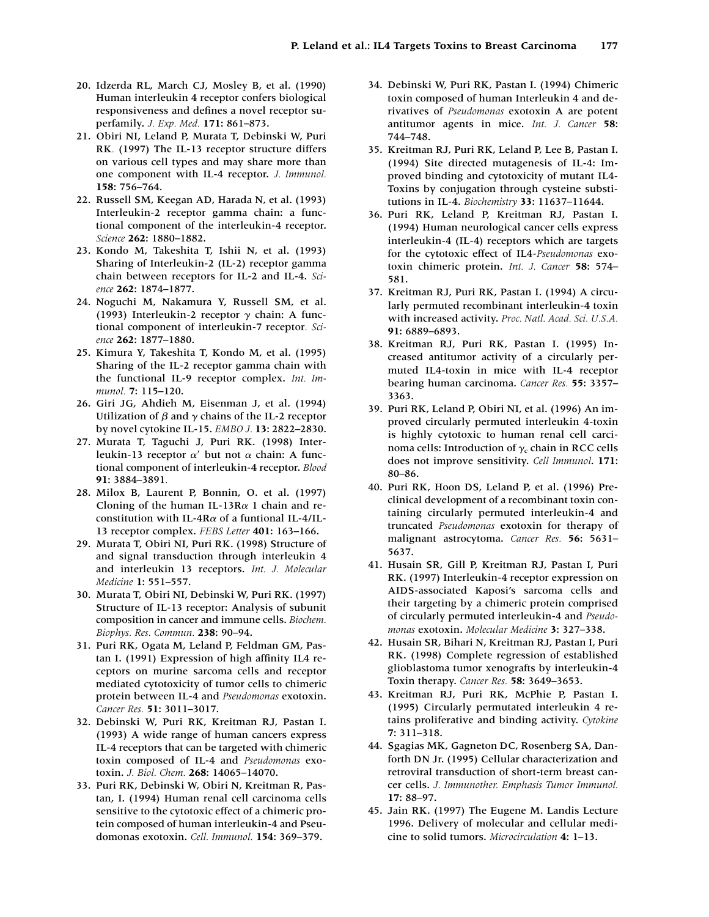- 20. Idzerda RL, March CJ, Mosley B, et al. (1990) Human interleukin 4 receptor confers biological responsiveness and defines a novel receptor superfamily. *J. Exp. Med.* **171**: 861–873.
- 21. Obiri NI, Leland P, Murata T, Debinski W, Puri RK*.* (1997) The IL-13 receptor structure differs on various cell types and may share more than one component with IL-4 receptor. *J. Immunol.* **158**: 756–764.
- 22. Russell SM, Keegan AD, Harada N, et al. (1993) Interleukin-2 receptor gamma chain: a functional component of the interleukin-4 receptor. *Science* **262**: 1880–1882.
- 23. Kondo M, Takeshita T, Ishii N, et al. (1993) Sharing of Interleukin-2 (IL-2) receptor gamma chain between receptors for IL-2 and IL-4. *Science* **262**: 1874–1877.
- 24. Noguchi M, Nakamura Y, Russell SM, et al. (1993) Interleukin-2 receptor  $\gamma$  chain: A functional component of interleukin-7 receptor*. Science* **262**: 1877–1880.
- 25. Kimura Y, Takeshita T, Kondo M, et al. (1995) Sharing of the IL-2 receptor gamma chain with the functional IL-9 receptor complex. *Int. Immunol.* **7**: 115–120.
- 26. Giri JG, Ahdieh M, Eisenman J, et al. (1994) Utilization of  $\beta$  and  $\gamma$  chains of the IL-2 receptor by novel cytokine IL-15. *EMBO J.* **13**: 2822–2830.
- 27. Murata T, Taguchi J, Puri RK. (1998) Interleukin-13 receptor  $\alpha'$  but not  $\alpha$  chain: A functional component of interleukin-4 receptor. *Blood* **91**: 3884–3891*.*
- 28. Milox B, Laurent P, Bonnin, O. et al. (1997) Cloning of the human IL-13R $\alpha$  1 chain and reconstitution with IL-4R $\alpha$  of a funtional IL-4/IL-13 receptor complex. *FEBS Letter* **401**: 163–166.
- 29. Murata T, Obiri NI, Puri RK. (1998) Structure of and signal transduction through interleukin 4 and interleukin 13 receptors. *Int. J. Molecular Medicine* **1**: 551–557.
- 30. Murata T, Obiri NI, Debinski W, Puri RK. (1997) Structure of IL-13 receptor: Analysis of subunit composition in cancer and immune cells. *Biochem. Biophys. Res. Commun.* **238**: 90–94.
- 31. Puri RK, Ogata M, Leland P, Feldman GM, Pastan I. (1991) Expression of high affinity IL4 receptors on murine sarcoma cells and receptor mediated cytotoxicity of tumor cells to chimeric protein between IL-4 and *Pseudomonas* exotoxin. *Cancer Res.* **51**: 3011–3017.
- 32. Debinski W, Puri RK, Kreitman RJ, Pastan I. (1993) A wide range of human cancers express IL-4 receptors that can be targeted with chimeric toxin composed of IL-4 and *Pseudomonas* exotoxin. *J. Biol. Chem.* **268**: 14065–14070.
- 33. Puri RK, Debinski W, Obiri N, Kreitman R, Pastan, I. (1994) Human renal cell carcinoma cells sensitive to the cytotoxic effect of a chimeric protein composed of human interleukin-4 and Pseudomonas exotoxin. *Cell. Immunol.* **154**: 369–379.
- 34. Debinski W, Puri RK, Pastan I. (1994) Chimeric toxin composed of human Interleukin 4 and derivatives of *Pseudomonas* exotoxin A are potent antitumor agents in mice. *Int. J. Cancer* **58**: 744–748.
- 35. Kreitman RJ, Puri RK, Leland P, Lee B, Pastan I. (1994) Site directed mutagenesis of IL-4: Improved binding and cytotoxicity of mutant IL4- Toxins by conjugation through cysteine substitutions in IL-4. *Biochemistry* **33**: 11637–11644.
- 36. Puri RK, Leland P, Kreitman RJ, Pastan I. (1994) Human neurological cancer cells express interleukin-4 (IL-4) receptors which are targets for the cytotoxic effect of IL4-*Pseudomonas* exotoxin chimeric protein. *Int. J. Cancer* **58**: 574– 581.
- 37. Kreitman RJ, Puri RK, Pastan I. (1994) A circularly permuted recombinant interleukin-4 toxin with increased activity. *Proc. Natl. Acad. Sci. U.S.A.* **91**: 6889–6893.
- 38. Kreitman RJ, Puri RK, Pastan I. (1995) Increased antitumor activity of a circularly permuted IL4-toxin in mice with IL-4 receptor bearing human carcinoma. *Cancer Res.* **55**: 3357– 3363.
- 39. Puri RK, Leland P, Obiri NI, et al. (1996) An improved circularly permuted interleukin 4-toxin is highly cytotoxic to human renal cell carcinoma cells: Introduction of  $\gamma_c$  chain in RCC cells does not improve sensitivity. *Cell Immunol*. **171**: 80–86.
- 40. Puri RK, Hoon DS, Leland P, et al. (1996) Preclinical development of a recombinant toxin containing circularly permuted interleukin-4 and truncated *Pseudomonas* exotoxin for therapy of malignant astrocytoma. *Cancer Res.* **56**: 5631– 5637.
- 41. Husain SR, Gill P, Kreitman RJ, Pastan I, Puri RK. (1997) Interleukin-4 receptor expression on AIDS-associated Kaposi's sarcoma cells and their targeting by a chimeric protein comprised of circularly permuted interleukin-4 and *Pseudomonas* exotoxin. *Molecular Medicine* **3**: 327–338.
- 42. Husain SR, Bihari N, Kreitman RJ, Pastan I, Puri RK. (1998) Complete regression of established glioblastoma tumor xenografts by interleukin-4 Toxin therapy. *Cancer Res.* **58**: 3649–3653.
- 43. Kreitman RJ, Puri RK, McPhie P, Pastan I. (1995) Circularly permutated interleukin 4 retains proliferative and binding activity. *Cytokine* **7**: 311–318.
- 44. Sgagias MK, Gagneton DC, Rosenberg SA, Danforth DN Jr. (1995) Cellular characterization and retroviral transduction of short-term breast cancer cells. *J. Immunother. Emphasis Tumor Immunol.* **17**: 88–97.
- 45. Jain RK. (1997) The Eugene M. Landis Lecture 1996. Delivery of molecular and cellular medicine to solid tumors. *Microcirculation* **4**: 1–13.